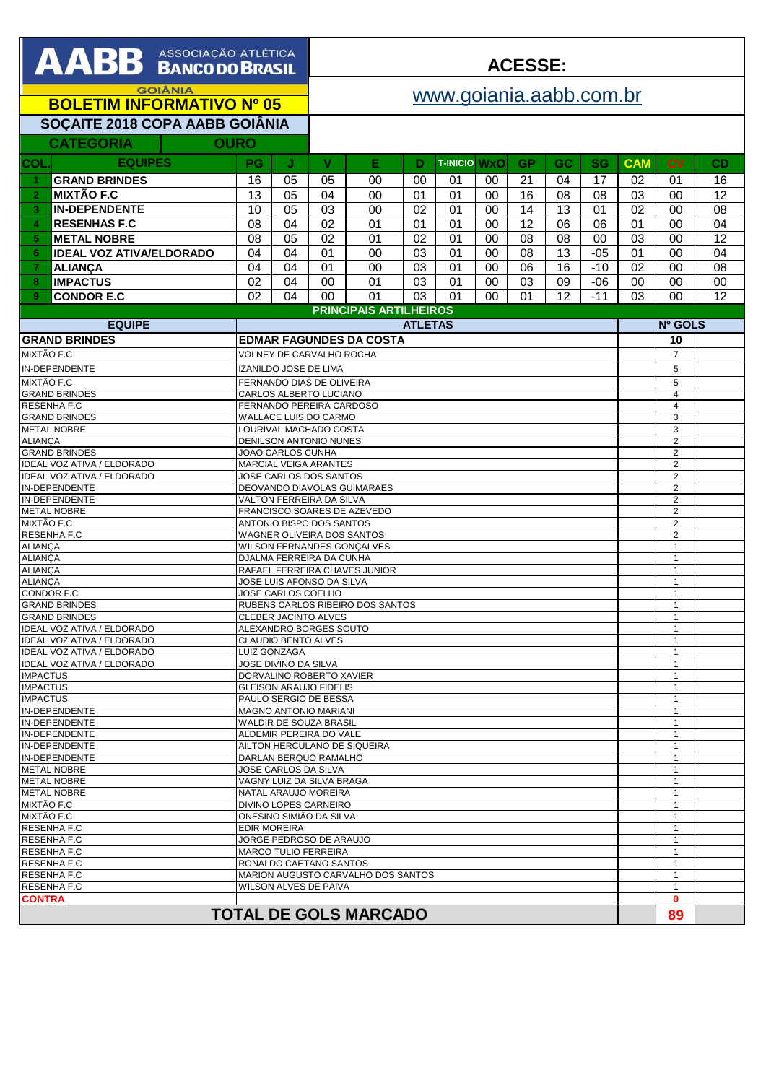| <b>AABB BANCO DO BRASIL</b>                                            |                                 |                                                          |                                                         |                                                        | <b>ACESSE:</b>                                   |                                     |                    |                     |        |                 |    |           |                     |                                  |    |  |
|------------------------------------------------------------------------|---------------------------------|----------------------------------------------------------|---------------------------------------------------------|--------------------------------------------------------|--------------------------------------------------|-------------------------------------|--------------------|---------------------|--------|-----------------|----|-----------|---------------------|----------------------------------|----|--|
| <b>GOIÂNIA</b><br><b>BOLETIM INFORMATIVO Nº 05</b>                     |                                 |                                                          |                                                         |                                                        | www.goiania.aabb.com.br                          |                                     |                    |                     |        |                 |    |           |                     |                                  |    |  |
| SOÇAITE 2018 COPA AABB GOIÂNIA                                         |                                 |                                                          |                                                         |                                                        |                                                  |                                     |                    |                     |        |                 |    |           |                     |                                  |    |  |
|                                                                        | <b>CATEGORIA</b>                | <b>OURO</b>                                              |                                                         |                                                        |                                                  |                                     |                    |                     |        |                 |    |           |                     |                                  |    |  |
| <b>COL</b>                                                             | <b>EQUIPES</b>                  |                                                          | PG                                                      | J.                                                     | $\mathbf{V}$                                     | E.                                  | D                  | <b>T-INICIO WXO</b> |        | <b>GP</b>       | GC | <b>SG</b> | <b>CAM</b>          | <b>CV</b>                        | CD |  |
|                                                                        | <b>GRAND BRINDES</b>            |                                                          | 16                                                      | 05                                                     | 05                                               | 00                                  | 00                 | 01                  | 00     | 21              | 04 | 17        | 02                  | 01                               | 16 |  |
| $\overline{2}$                                                         | <b>MIXTÃO F.C</b>               |                                                          | 13                                                      | 05                                                     | 04                                               | 00                                  | 01                 | 01                  | 00     | 16              | 08 | 08        | 03                  | 00                               | 12 |  |
| 3                                                                      | <b>IN-DEPENDENTE</b>            |                                                          | 10                                                      | 05                                                     | 03                                               | 00                                  | 02                 | 01                  | 00     | 14              | 13 | 01        | 02                  | 00                               | 08 |  |
| 4                                                                      | <b>RESENHAS F.C</b>             |                                                          | 08                                                      | 04                                                     | 02                                               | 01                                  | 01                 | 01                  | 00     | $\overline{12}$ | 06 | 06        | 01                  | 00                               | 04 |  |
| 5                                                                      | <b>METAL NOBRE</b>              |                                                          | 08                                                      | 05                                                     | 02                                               | 01                                  | 02                 | 01                  | 00     | 08              | 08 | 00        | 03                  | 00                               | 12 |  |
| 6                                                                      | <b>IDEAL VOZ ATIVA/ELDORADO</b> |                                                          | 04                                                      | 04                                                     | 01                                               | 00                                  | 03                 | 01                  | 00     | 08              | 13 | $-05$     | 01                  | 00                               | 04 |  |
| 7                                                                      | <b>ALIANÇA</b>                  |                                                          | 04                                                      | 04                                                     | 01                                               | 00                                  | 03                 | 01                  | 00     | 06              | 16 | $-10$     | 02                  | 00                               | 08 |  |
| 8                                                                      | <b>IMPACTUS</b>                 |                                                          | 02                                                      | 04                                                     | 00                                               | 01                                  | 03                 | 01                  | 00     | 03              | 09 | $-06$     | 00                  | 00                               | 00 |  |
| 9                                                                      | <b>CONDOR E.C</b>               |                                                          | 02                                                      | 04                                                     | 00                                               | 01<br><b>PRINCIPAIS ARTILHEIROS</b> | 03                 | 01                  | $00\,$ | 01              | 12 | $-11$     | 03                  | 00                               | 12 |  |
|                                                                        | <b>EQUIPE</b>                   |                                                          |                                                         |                                                        |                                                  |                                     | <b>ATLETAS</b>     |                     |        |                 |    |           |                     | Nº GOLS                          |    |  |
| <b>GRAND BRINDES</b>                                                   |                                 |                                                          | <b>EDMAR FAGUNDES DA COSTA</b>                          |                                                        |                                                  |                                     |                    |                     |        |                 |    |           |                     | 10                               |    |  |
| MIXTÃO F.C                                                             |                                 |                                                          | VOLNEY DE CARVALHO ROCHA                                |                                                        |                                                  |                                     |                    |                     |        |                 |    |           |                     | $\overline{7}$                   |    |  |
| <b>IN-DEPENDENTE</b>                                                   |                                 |                                                          | IZANILDO JOSE DE LIMA                                   |                                                        |                                                  |                                     |                    |                     |        |                 |    |           |                     | 5                                |    |  |
| MIXTÃO F.C                                                             |                                 |                                                          | FERNANDO DIAS DE OLIVEIRA                               |                                                        |                                                  |                                     |                    |                     |        |                 |    |           |                     | 5                                |    |  |
| <b>GRAND BRINDES</b>                                                   |                                 |                                                          | CARLOS ALBERTO LUCIANO<br>FERNANDO PEREIRA CARDOSO      |                                                        |                                                  |                                     |                    |                     |        |                 |    |           |                     | $\overline{4}$<br>$\overline{4}$ |    |  |
| RESENHA F.C<br><b>GRAND BRINDES</b>                                    |                                 |                                                          | WALLACE LUIS DO CARMO                                   |                                                        |                                                  |                                     |                    |                     |        |                 |    |           |                     | 3                                |    |  |
| <b>METAL NOBRE</b>                                                     |                                 |                                                          | LOURIVAL MACHADO COSTA                                  |                                                        |                                                  |                                     |                    |                     |        |                 |    |           |                     | 3                                |    |  |
| <b>ALIANCA</b><br><b>GRAND BRINDES</b>                                 |                                 |                                                          | DENILSON ANTONIO NUNES<br>JOAO CARLOS CUNHA             |                                                        |                                                  |                                     |                    |                     |        |                 |    |           |                     | $\overline{c}$<br>$\overline{2}$ |    |  |
| <b>IDEAL VOZ ATIVA / ELDORADO</b>                                      |                                 |                                                          | MARCIAL VEIGA ARANTES                                   |                                                        |                                                  |                                     |                    |                     |        |                 |    |           |                     | $\overline{2}$                   |    |  |
| IDEAL VOZ ATIVA / ELDORADO                                             |                                 |                                                          | JOSE CARLOS DOS SANTOS                                  |                                                        |                                                  |                                     |                    |                     |        |                 |    |           |                     | $\overline{2}$                   |    |  |
| IN-DEPENDENTE<br>IN-DEPENDENTE                                         |                                 |                                                          | DEOVANDO DIAVOLAS GUIMARAES<br>VALTON FERREIRA DA SILVA |                                                        |                                                  |                                     |                    |                     |        |                 |    |           |                     | $\overline{2}$<br>$\overline{c}$ |    |  |
| <b>METAL NOBRE</b>                                                     |                                 | FRANCISCO SOARES DE AZEVEDO                              |                                                         |                                                        |                                                  |                                     |                    |                     |        |                 |    |           | $\overline{c}$      |                                  |    |  |
| MIXTÃO F.C                                                             |                                 |                                                          | ANTONIO BISPO DOS SANTOS                                |                                                        |                                                  |                                     |                    |                     |        |                 |    |           |                     | $\overline{c}$                   |    |  |
| RESENHA F.C<br><b>ALIANÇA</b>                                          |                                 | WAGNER OLIVEIRA DOS SANTOS<br>WILSON FERNANDES GONÇALVES |                                                         |                                                        |                                                  |                                     |                    |                     |        |                 |    |           | $\overline{2}$<br>1 |                                  |    |  |
| <b>ALIANÇA</b>                                                         |                                 |                                                          | DJALMA FERREIRA DA CUNHA                                |                                                        |                                                  |                                     |                    |                     |        |                 |    |           |                     | $\mathbf{1}$                     |    |  |
| <b>ALIANÇA</b>                                                         |                                 |                                                          | RAFAEL FERREIRA CHAVES JUNIOR                           |                                                        |                                                  |                                     |                    |                     |        |                 |    |           |                     | $\overline{1}$                   |    |  |
| <b>ALIANCA</b><br>CONDOR F.C                                           |                                 |                                                          | JOSE LUIS AFONSO DA SILVA<br>JOSE CARLOS COELHO         |                                                        |                                                  |                                     |                    |                     |        |                 |    |           |                     | 1<br>$\mathbf{1}$                |    |  |
| <b>GRAND BRINDES</b>                                                   |                                 |                                                          | RUBENS CARLOS RIBEIRO DOS SANTOS                        |                                                        |                                                  |                                     |                    |                     |        |                 |    |           |                     | $\mathbf{1}$                     |    |  |
| <b>GRAND BRINDES</b>                                                   |                                 |                                                          | <b>CLEBER JACINTO ALVES</b>                             |                                                        |                                                  |                                     |                    |                     |        |                 |    |           |                     | $\mathbf{1}$<br>$\mathbf{1}$     |    |  |
| <b>IDEAL VOZ ATIVA / ELDORADO</b><br><b>IDEAL VOZ ATIVA / ELDORADO</b> |                                 |                                                          | ALEXANDRO BORGES SOUTO<br><b>CLAUDIO BENTO ALVES</b>    |                                                        |                                                  |                                     |                    |                     |        |                 |    |           |                     |                                  |    |  |
| IDEAL VOZ ATIVA / ELDORADO                                             |                                 |                                                          | LUIZ GONZAGA                                            |                                                        |                                                  |                                     |                    |                     |        |                 |    |           |                     |                                  |    |  |
| <b>IDEAL VOZ ATIVA / ELDORADO</b>                                      |                                 |                                                          | JOSE DIVINO DA SILVA<br>DORVALINO ROBERTO XAVIER        |                                                        |                                                  |                                     |                    |                     |        |                 |    |           |                     | -1                               |    |  |
| <b>IMPACTUS</b><br><b>IMPACTUS</b>                                     |                                 |                                                          | <b>GLEISON ARAUJO FIDELIS</b>                           |                                                        |                                                  |                                     |                    |                     |        |                 |    |           |                     |                                  |    |  |
| <b>IMPACTUS</b>                                                        |                                 |                                                          |                                                         | PAULO SERGIO DE BESSA                                  |                                                  |                                     |                    |                     |        |                 |    |           |                     |                                  |    |  |
| IN-DEPENDENTE                                                          |                                 |                                                          |                                                         | <b>MAGNO ANTONIO MARIANI</b><br>WALDIR DE SOUZA BRASIL |                                                  |                                     | $\mathbf 1$        |                     |        |                 |    |           |                     |                                  |    |  |
| IN-DEPENDENTE<br>IN-DEPENDENTE                                         |                                 |                                                          |                                                         | ALDEMIR PEREIRA DO VALE                                |                                                  |                                     |                    |                     |        |                 |    |           | -1                  |                                  |    |  |
| IN-DEPENDENTE                                                          |                                 |                                                          |                                                         | AILTON HERCULANO DE SIQUEIRA                           |                                                  |                                     | -1                 |                     |        |                 |    |           |                     |                                  |    |  |
| IN-DEPENDENTE<br><b>METAL NOBRE</b>                                    |                                 |                                                          |                                                         | DARLAN BERQUO RAMALHO<br>JOSE CARLOS DA SILVA          |                                                  |                                     | $\mathbf{1}$<br>-1 |                     |        |                 |    |           |                     |                                  |    |  |
| <b>METAL NOBRE</b>                                                     |                                 |                                                          |                                                         | VAGNY LUIZ DA SILVA BRAGA                              |                                                  |                                     |                    |                     |        |                 |    |           | $\mathbf{1}$        |                                  |    |  |
| <b>METAL NOBRE</b>                                                     |                                 |                                                          |                                                         |                                                        | NATAL ARAUJO MOREIRA                             |                                     |                    |                     |        |                 |    |           |                     |                                  |    |  |
| MIXTÃO F.C<br>MIXTÃO F.C                                               |                                 |                                                          |                                                         |                                                        | DIVINO LOPES CARNEIRO<br>ONESINO SIMIÃO DA SILVA |                                     |                    |                     |        |                 |    |           |                     |                                  |    |  |
| <b>RESENHA F.C</b>                                                     |                                 |                                                          |                                                         | <b>EDIR MOREIRA</b>                                    |                                                  |                                     |                    |                     |        |                 |    |           |                     | -1                               |    |  |
| <b>RESENHA F.C</b>                                                     |                                 |                                                          |                                                         |                                                        | JORGE PEDROSO DE ARAUJO                          |                                     |                    |                     |        |                 |    |           |                     | -1                               |    |  |
| <b>RESENHA F.C</b><br><b>RESENHAF.C</b>                                |                                 |                                                          | <b>MARCO TULIO FERREIRA</b><br>RONALDO CAETANO SANTOS   |                                                        |                                                  |                                     |                    |                     |        |                 |    |           |                     | $\mathbf 1$<br>-1                |    |  |
| <b>RESENHA F.C</b>                                                     |                                 |                                                          |                                                         |                                                        |                                                  | MARION AUGUSTO CARVALHO DOS SANTOS  |                    |                     |        |                 |    |           |                     | -1                               |    |  |
| <b>RESENHA F.C</b>                                                     |                                 |                                                          |                                                         |                                                        | WILSON ALVES DE PAIVA                            |                                     |                    |                     |        |                 |    |           |                     | $\mathbf 1$                      |    |  |
| <b>CONTRA</b>                                                          |                                 |                                                          |                                                         | $\bf{0}$                                               |                                                  |                                     |                    |                     |        |                 |    |           |                     |                                  |    |  |
|                                                                        |                                 |                                                          |                                                         |                                                        |                                                  | <b>TOTAL DE GOLS MARCADO</b>        |                    |                     |        |                 |    |           |                     | 89                               |    |  |